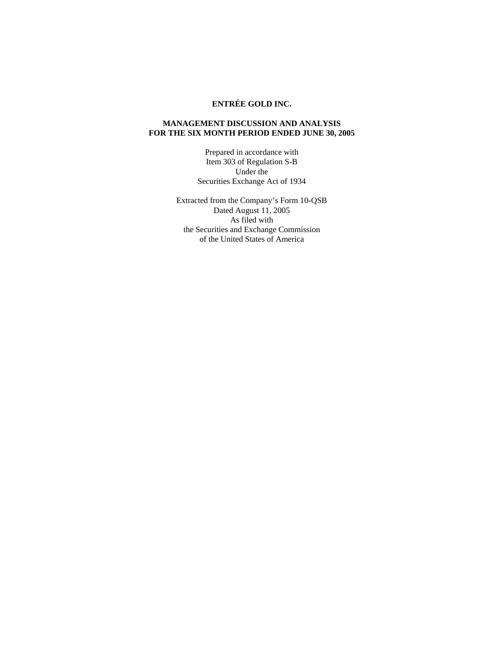# **ENTRÉE GOLD INC.**

# **MANAGEMENT DISCUSSION AND ANALYSIS FOR THE SIX MONTH PERIOD ENDED JUNE 30, 2005**

Prepared in accordance with Item 303 of Regulation S-B Under the Securities Exchange Act of 1934

Extracted from the Company's Form 10-QSB Dated August 11, 2005 As filed with the Securities and Exchange Commission of the United States of America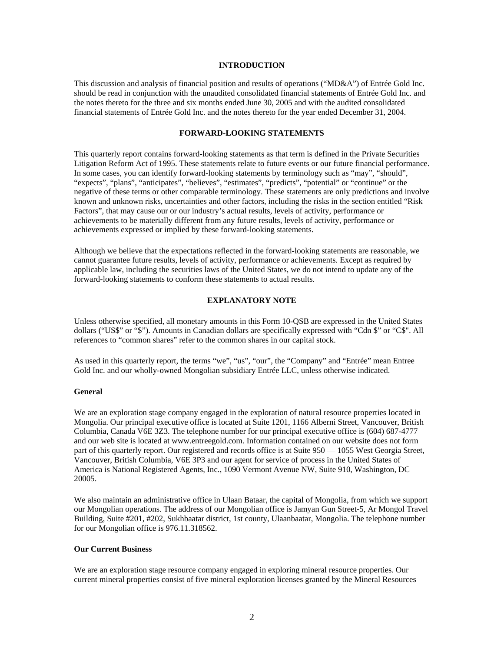## **INTRODUCTION**

This discussion and analysis of financial position and results of operations ("MD&A") of Entrée Gold Inc. should be read in conjunction with the unaudited consolidated financial statements of Entrée Gold Inc. and the notes thereto for the three and six months ended June 30, 2005 and with the audited consolidated financial statements of Entrée Gold Inc. and the notes thereto for the year ended December 31, 2004.

# **FORWARD-LOOKING STATEMENTS**

This quarterly report contains forward-looking statements as that term is defined in the Private Securities Litigation Reform Act of 1995. These statements relate to future events or our future financial performance. In some cases, you can identify forward-looking statements by terminology such as "may", "should", "expects", "plans", "anticipates", "believes", "estimates", "predicts", "potential" or "continue" or the negative of these terms or other comparable terminology. These statements are only predictions and involve known and unknown risks, uncertainties and other factors, including the risks in the section entitled "Risk Factors", that may cause our or our industry's actual results, levels of activity, performance or achievements to be materially different from any future results, levels of activity, performance or achievements expressed or implied by these forward-looking statements.

Although we believe that the expectations reflected in the forward-looking statements are reasonable, we cannot guarantee future results, levels of activity, performance or achievements. Except as required by applicable law, including the securities laws of the United States, we do not intend to update any of the forward-looking statements to conform these statements to actual results.

# **EXPLANATORY NOTE**

Unless otherwise specified, all monetary amounts in this Form 10-QSB are expressed in the United States dollars ("US\$" or "\$"). Amounts in Canadian dollars are specifically expressed with "Cdn \$" or "C\$". All references to "common shares" refer to the common shares in our capital stock.

As used in this quarterly report, the terms "we", "us", "our", the "Company" and "Entrée" mean Entree Gold Inc. and our wholly-owned Mongolian subsidiary Entrée LLC, unless otherwise indicated.

# **General**

We are an exploration stage company engaged in the exploration of natural resource properties located in Mongolia. Our principal executive office is located at Suite 1201, 1166 Alberni Street, Vancouver, British Columbia, Canada V6E 3Z3. The telephone number for our principal executive office is (604) 687-4777 and our web site is located at www.entreegold.com. Information contained on our website does not form part of this quarterly report. Our registered and records office is at Suite 950 — 1055 West Georgia Street, Vancouver, British Columbia, V6E 3P3 and our agent for service of process in the United States of America is National Registered Agents, Inc., 1090 Vermont Avenue NW, Suite 910, Washington, DC 20005.

We also maintain an administrative office in Ulaan Bataar, the capital of Mongolia, from which we support our Mongolian operations. The address of our Mongolian office is Jamyan Gun Street-5, Ar Mongol Travel Building, Suite #201, #202, Sukhbaatar district, 1st county, Ulaanbaatar, Mongolia. The telephone number for our Mongolian office is 976.11.318562.

#### **Our Current Business**

We are an exploration stage resource company engaged in exploring mineral resource properties. Our current mineral properties consist of five mineral exploration licenses granted by the Mineral Resources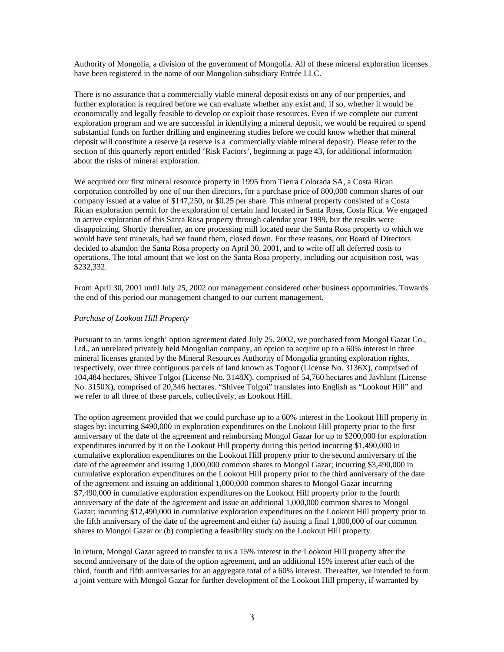Authority of Mongolia, a division of the government of Mongolia. All of these mineral exploration licenses have been registered in the name of our Mongolian subsidiary Entrée LLC.

There is no assurance that a commercially viable mineral deposit exists on any of our properties, and further exploration is required before we can evaluate whether any exist and, if so, whether it would be economically and legally feasible to develop or exploit those resources. Even if we complete our current exploration program and we are successful in identifying a mineral deposit, we would be required to spend substantial funds on further drilling and engineering studies before we could know whether that mineral deposit will constitute a reserve (a reserve is a commercially viable mineral deposit). Please refer to the section of this quarterly report entitled 'Risk Factors', beginning at page 43, for additional information about the risks of mineral exploration.

We acquired our first mineral resource property in 1995 from Tierra Colorada SA, a Costa Rican corporation controlled by one of our then directors, for a purchase price of 800,000 common shares of our company issued at a value of \$147,250, or \$0.25 per share. This mineral property consisted of a Costa Rican exploration permit for the exploration of certain land located in Santa Rosa, Costa Rica. We engaged in active exploration of this Santa Rosa property through calendar year 1999, but the results were disappointing. Shortly thereafter, an ore processing mill located near the Santa Rosa property to which we would have sent minerals, had we found them, closed down. For these reasons, our Board of Directors decided to abandon the Santa Rosa property on April 30, 2001, and to write off all deferred costs to operations. The total amount that we lost on the Santa Rosa property, including our acquisition cost, was \$232,332.

From April 30, 2001 until July 25, 2002 our management considered other business opportunities. Towards the end of this period our management changed to our current management.

## *Purchase of Lookout Hill Property*

Pursuant to an 'arms length' option agreement dated July 25, 2002, we purchased from Mongol Gazar Co., Ltd., an unrelated privately held Mongolian company, an option to acquire up to a 60% interest in three mineral licenses granted by the Mineral Resources Authority of Mongolia granting exploration rights, respectively, over three contiguous parcels of land known as Togoot (License No. 3136X), comprised of 104,484 hectares, Shivee Tolgoi (License No. 3148X), comprised of 54,760 hectares and Javhlant (License No. 3150X), comprised of 20,346 hectares. "Shivee Tolgoi" translates into English as "Lookout Hill" and we refer to all three of these parcels, collectively, as Lookout Hill.

The option agreement provided that we could purchase up to a 60% interest in the Lookout Hill property in stages by: incurring \$490,000 in exploration expenditures on the Lookout Hill property prior to the first anniversary of the date of the agreement and reimbursing Mongol Gazar for up to \$200,000 for exploration expenditures incurred by it on the Lookout Hill property during this period incurring \$1,490,000 in cumulative exploration expenditures on the Lookout Hill property prior to the second anniversary of the date of the agreement and issuing 1,000,000 common shares to Mongol Gazar; incurring \$3,490,000 in cumulative exploration expenditures on the Lookout Hill property prior to the third anniversary of the date of the agreement and issuing an additional 1,000,000 common shares to Mongol Gazar incurring \$7,490,000 in cumulative exploration expenditures on the Lookout Hill property prior to the fourth anniversary of the date of the agreement and issue an additional 1,000,000 common shares to Mongol Gazar; incurring \$12,490,000 in cumulative exploration expenditures on the Lookout Hill property prior to the fifth anniversary of the date of the agreement and either (a) issuing a final 1,000,000 of our common shares to Mongol Gazar or (b) completing a feasibility study on the Lookout Hill property

In return, Mongol Gazar agreed to transfer to us a 15% interest in the Lookout Hill property after the second anniversary of the date of the option agreement, and an additional 15% interest after each of the third, fourth and fifth anniversaries for an aggregate total of a 60% interest. Thereafter, we intended to form a joint venture with Mongol Gazar for further development of the Lookout Hill property, if warranted by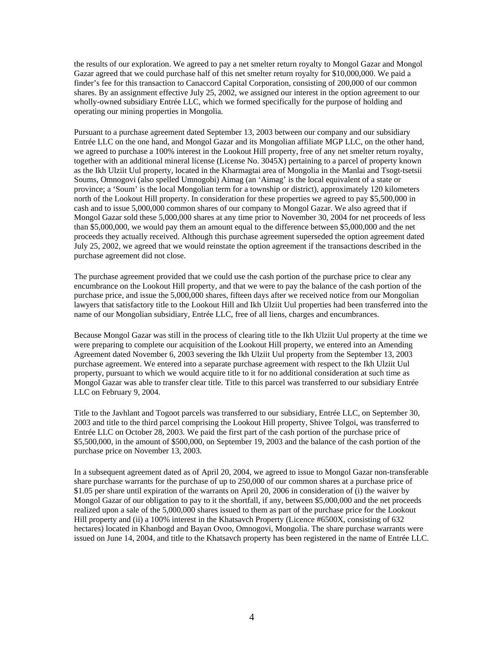the results of our exploration. We agreed to pay a net smelter return royalty to Mongol Gazar and Mongol Gazar agreed that we could purchase half of this net smelter return royalty for \$10,000,000. We paid a finder's fee for this transaction to Canaccord Capital Corporation, consisting of 200,000 of our common shares. By an assignment effective July 25, 2002, we assigned our interest in the option agreement to our wholly-owned subsidiary Entrée LLC, which we formed specifically for the purpose of holding and operating our mining properties in Mongolia.

Pursuant to a purchase agreement dated September 13, 2003 between our company and our subsidiary Entrée LLC on the one hand, and Mongol Gazar and its Mongolian affiliate MGP LLC, on the other hand, we agreed to purchase a 100% interest in the Lookout Hill property, free of any net smelter return royalty, together with an additional mineral license (License No. 3045X) pertaining to a parcel of property known as the Ikh Ulziit Uul property, located in the Kharmagtai area of Mongolia in the Manlai and Tsogt-tsetsii Soums, Omnogovi (also spelled Umnogobi) Aimag (an 'Aimag' is the local equivalent of a state or province; a 'Soum' is the local Mongolian term for a township or district), approximately 120 kilometers north of the Lookout Hill property. In consideration for these properties we agreed to pay \$5,500,000 in cash and to issue 5,000,000 common shares of our company to Mongol Gazar. We also agreed that if Mongol Gazar sold these 5,000,000 shares at any time prior to November 30, 2004 for net proceeds of less than \$5,000,000, we would pay them an amount equal to the difference between \$5,000,000 and the net proceeds they actually received. Although this purchase agreement superseded the option agreement dated July 25, 2002, we agreed that we would reinstate the option agreement if the transactions described in the purchase agreement did not close.

The purchase agreement provided that we could use the cash portion of the purchase price to clear any encumbrance on the Lookout Hill property, and that we were to pay the balance of the cash portion of the purchase price, and issue the 5,000,000 shares, fifteen days after we received notice from our Mongolian lawyers that satisfactory title to the Lookout Hill and Ikh Ulziit Uul properties had been transferred into the name of our Mongolian subsidiary, Entrée LLC, free of all liens, charges and encumbrances.

Because Mongol Gazar was still in the process of clearing title to the Ikh Ulziit Uul property at the time we were preparing to complete our acquisition of the Lookout Hill property, we entered into an Amending Agreement dated November 6, 2003 severing the Ikh Ulziit Uul property from the September 13, 2003 purchase agreement. We entered into a separate purchase agreement with respect to the Ikh Ulziit Uul property, pursuant to which we would acquire title to it for no additional consideration at such time as Mongol Gazar was able to transfer clear title. Title to this parcel was transferred to our subsidiary Entrée LLC on February 9, 2004.

Title to the Javhlant and Togoot parcels was transferred to our subsidiary, Entrée LLC, on September 30, 2003 and title to the third parcel comprising the Lookout Hill property, Shivee Tolgoi, was transferred to Entrée LLC on October 28, 2003. We paid the first part of the cash portion of the purchase price of \$5,500,000, in the amount of \$500,000, on September 19, 2003 and the balance of the cash portion of the purchase price on November 13, 2003.

In a subsequent agreement dated as of April 20, 2004, we agreed to issue to Mongol Gazar non-transferable share purchase warrants for the purchase of up to 250,000 of our common shares at a purchase price of \$1.05 per share until expiration of the warrants on April 20, 2006 in consideration of (i) the waiver by Mongol Gazar of our obligation to pay to it the shortfall, if any, between \$5,000,000 and the net proceeds realized upon a sale of the 5,000,000 shares issued to them as part of the purchase price for the Lookout Hill property and (ii) a 100% interest in the Khatsavch Property (Licence #6500X, consisting of 632 hectares) located in Khanbogd and Bayan Ovoo, Omnogovi, Mongolia. The share purchase warrants were issued on June 14, 2004, and title to the Khatsavch property has been registered in the name of Entrée LLC.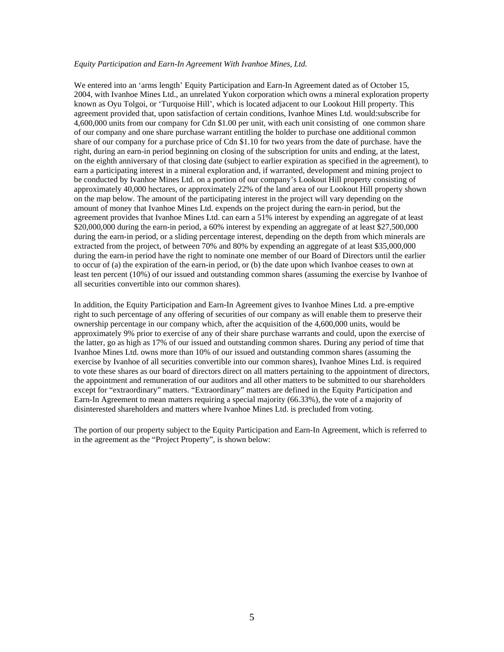# *Equity Participation and Earn-In Agreement With Ivanhoe Mines, Ltd.*

We entered into an 'arms length' Equity Participation and Earn-In Agreement dated as of October 15, 2004, with Ivanhoe Mines Ltd., an unrelated Yukon corporation which owns a mineral exploration property known as Oyu Tolgoi, or 'Turquoise Hill', which is located adjacent to our Lookout Hill property. This agreement provided that, upon satisfaction of certain conditions, Ivanhoe Mines Ltd. would:subscribe for 4,600,000 units from our company for Cdn \$1.00 per unit, with each unit consisting of one common share of our company and one share purchase warrant entitling the holder to purchase one additional common share of our company for a purchase price of Cdn \$1.10 for two years from the date of purchase. have the right, during an earn-in period beginning on closing of the subscription for units and ending, at the latest, on the eighth anniversary of that closing date (subject to earlier expiration as specified in the agreement), to earn a participating interest in a mineral exploration and, if warranted, development and mining project to be conducted by Ivanhoe Mines Ltd. on a portion of our company's Lookout Hill property consisting of approximately 40,000 hectares, or approximately 22% of the land area of our Lookout Hill property shown on the map below. The amount of the participating interest in the project will vary depending on the amount of money that Ivanhoe Mines Ltd. expends on the project during the earn-in period, but the agreement provides that Ivanhoe Mines Ltd. can earn a 51% interest by expending an aggregate of at least \$20,000,000 during the earn-in period, a 60% interest by expending an aggregate of at least \$27,500,000 during the earn-in period, or a sliding percentage interest, depending on the depth from which minerals are extracted from the project, of between 70% and 80% by expending an aggregate of at least \$35,000,000 during the earn-in period have the right to nominate one member of our Board of Directors until the earlier to occur of (a) the expiration of the earn-in period, or (b) the date upon which Ivanhoe ceases to own at least ten percent (10%) of our issued and outstanding common shares (assuming the exercise by Ivanhoe of all securities convertible into our common shares).

In addition, the Equity Participation and Earn-In Agreement gives to Ivanhoe Mines Ltd. a pre-emptive right to such percentage of any offering of securities of our company as will enable them to preserve their ownership percentage in our company which, after the acquisition of the 4,600,000 units, would be approximately 9% prior to exercise of any of their share purchase warrants and could, upon the exercise of the latter, go as high as 17% of our issued and outstanding common shares. During any period of time that Ivanhoe Mines Ltd. owns more than 10% of our issued and outstanding common shares (assuming the exercise by Ivanhoe of all securities convertible into our common shares), Ivanhoe Mines Ltd. is required to vote these shares as our board of directors direct on all matters pertaining to the appointment of directors, the appointment and remuneration of our auditors and all other matters to be submitted to our shareholders except for "extraordinary" matters. "Extraordinary" matters are defined in the Equity Participation and Earn-In Agreement to mean matters requiring a special majority (66.33%), the vote of a majority of disinterested shareholders and matters where Ivanhoe Mines Ltd. is precluded from voting.

The portion of our property subject to the Equity Participation and Earn-In Agreement, which is referred to in the agreement as the "Project Property", is shown below: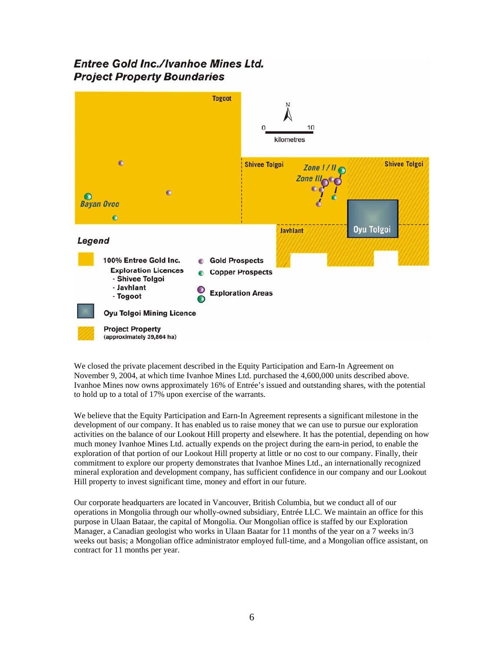# **Entree Gold Inc./Ivanhoe Mines Ltd. Project Property Boundaries**



We closed the private placement described in the Equity Participation and Earn-In Agreement on November 9, 2004, at which time Ivanhoe Mines Ltd. purchased the 4,600,000 units described above. Ivanhoe Mines now owns approximately 16% of Entrée's issued and outstanding shares, with the potential to hold up to a total of 17% upon exercise of the warrants.

We believe that the Equity Participation and Earn-In Agreement represents a significant milestone in the development of our company. It has enabled us to raise money that we can use to pursue our exploration activities on the balance of our Lookout Hill property and elsewhere. It has the potential, depending on how much money Ivanhoe Mines Ltd. actually expends on the project during the earn-in period, to enable the exploration of that portion of our Lookout Hill property at little or no cost to our company. Finally, their commitment to explore our property demonstrates that Ivanhoe Mines Ltd., an internationally recognized mineral exploration and development company, has sufficient confidence in our company and our Lookout Hill property to invest significant time, money and effort in our future.

Our corporate headquarters are located in Vancouver, British Columbia, but we conduct all of our operations in Mongolia through our wholly-owned subsidiary, Entrée LLC. We maintain an office for this purpose in Ulaan Bataar, the capital of Mongolia. Our Mongolian office is staffed by our Exploration Manager, a Canadian geologist who works in Ulaan Baatar for 11 months of the year on a 7 weeks in/3 weeks out basis; a Mongolian office administrator employed full-time, and a Mongolian office assistant, on contract for 11 months per year.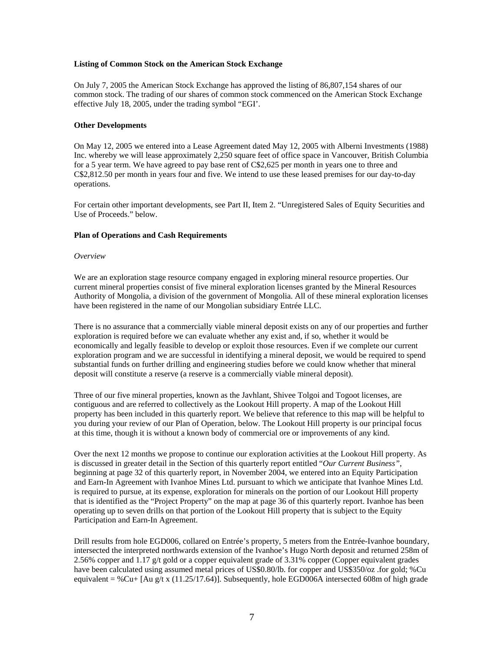# **Listing of Common Stock on the American Stock Exchange**

On July 7, 2005 the American Stock Exchange has approved the listing of 86,807,154 shares of our common stock. The trading of our shares of common stock commenced on the American Stock Exchange effective July 18, 2005, under the trading symbol "EGI'.

## **Other Developments**

On May 12, 2005 we entered into a Lease Agreement dated May 12, 2005 with Alberni Investments (1988) Inc. whereby we will lease approximately 2,250 square feet of office space in Vancouver, British Columbia for a 5 year term. We have agreed to pay base rent of C\$2,625 per month in years one to three and C\$2,812.50 per month in years four and five. We intend to use these leased premises for our day-to-day operations.

For certain other important developments, see Part II, Item 2. "Unregistered Sales of Equity Securities and Use of Proceeds." below.

## **Plan of Operations and Cash Requirements**

#### *Overview*

We are an exploration stage resource company engaged in exploring mineral resource properties. Our current mineral properties consist of five mineral exploration licenses granted by the Mineral Resources Authority of Mongolia, a division of the government of Mongolia. All of these mineral exploration licenses have been registered in the name of our Mongolian subsidiary Entrée LLC.

There is no assurance that a commercially viable mineral deposit exists on any of our properties and further exploration is required before we can evaluate whether any exist and, if so, whether it would be economically and legally feasible to develop or exploit those resources. Even if we complete our current exploration program and we are successful in identifying a mineral deposit, we would be required to spend substantial funds on further drilling and engineering studies before we could know whether that mineral deposit will constitute a reserve (a reserve is a commercially viable mineral deposit).

Three of our five mineral properties, known as the Javhlant, Shivee Tolgoi and Togoot licenses, are contiguous and are referred to collectively as the Lookout Hill property. A map of the Lookout Hill property has been included in this quarterly report. We believe that reference to this map will be helpful to you during your review of our Plan of Operation, below. The Lookout Hill property is our principal focus at this time, though it is without a known body of commercial ore or improvements of any kind.

Over the next 12 months we propose to continue our exploration activities at the Lookout Hill property. As is discussed in greater detail in the Section of this quarterly report entitled "*Our Current Business"*, beginning at page 32 of this quarterly report, in November 2004, we entered into an Equity Participation and Earn-In Agreement with Ivanhoe Mines Ltd. pursuant to which we anticipate that Ivanhoe Mines Ltd. is required to pursue, at its expense, exploration for minerals on the portion of our Lookout Hill property that is identified as the "Project Property" on the map at page 36 of this quarterly report. Ivanhoe has been operating up to seven drills on that portion of the Lookout Hill property that is subject to the Equity Participation and Earn-In Agreement.

Drill results from hole EGD006, collared on Entrée's property, 5 meters from the Entrée-Ivanhoe boundary, intersected the interpreted northwards extension of the Ivanhoe's Hugo North deposit and returned 258m of 2.56% copper and 1.17 g/t gold or a copper equivalent grade of 3.31% copper (Copper equivalent grades have been calculated using assumed metal prices of US\$0.80/lb. for copper and US\$350/oz .for gold; %Cu equivalent = %Cu+ [Au g/t x (11.25/17.64)]. Subsequently, hole EGD006A intersected 608m of high grade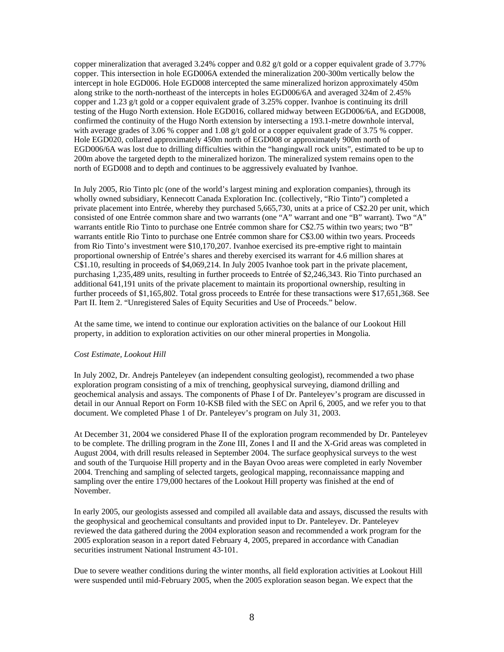copper mineralization that averaged 3.24% copper and 0.82 g/t gold or a copper equivalent grade of 3.77% copper. This intersection in hole EGD006A extended the mineralization 200-300m vertically below the intercept in hole EGD006. Hole EGD008 intercepted the same mineralized horizon approximately 450m along strike to the north-northeast of the intercepts in holes EGD006/6A and averaged 324m of 2.45% copper and 1.23 g/t gold or a copper equivalent grade of 3.25% copper. Ivanhoe is continuing its drill testing of the Hugo North extension. Hole EGD016, collared midway between EGD006/6A, and EGD008, confirmed the continuity of the Hugo North extension by intersecting a 193.1-metre downhole interval, with average grades of 3.06 % copper and 1.08 g/t gold or a copper equivalent grade of 3.75 % copper. Hole EGD020, collared approximately 450m north of EGD008 or approximately 900m north of EGD006/6A was lost due to drilling difficulties within the "hangingwall rock units", estimated to be up to 200m above the targeted depth to the mineralized horizon. The mineralized system remains open to the north of EGD008 and to depth and continues to be aggressively evaluated by Ivanhoe.

In July 2005, Rio Tinto plc (one of the world's largest mining and exploration companies), through its wholly owned subsidiary, Kennecott Canada Exploration Inc. (collectively, "Rio Tinto") completed a private placement into Entrée, whereby they purchased 5,665,730, units at a price of C\$2.20 per unit, which consisted of one Entrée common share and two warrants (one "A" warrant and one "B" warrant). Two "A" warrants entitle Rio Tinto to purchase one Entrée common share for C\$2.75 within two years; two "B" warrants entitle Rio Tinto to purchase one Entrée common share for C\$3.00 within two years. Proceeds from Rio Tinto's investment were \$10,170,207. Ivanhoe exercised its pre-emptive right to maintain proportional ownership of Entrée's shares and thereby exercised its warrant for 4.6 million shares at C\$1.10, resulting in proceeds of \$4,069,214. In July 2005 Ivanhoe took part in the private placement, purchasing 1,235,489 units, resulting in further proceeds to Entrée of \$2,246,343. Rio Tinto purchased an additional 641,191 units of the private placement to maintain its proportional ownership, resulting in further proceeds of \$1,165,802. Total gross proceeds to Entrée for these transactions were \$17,651,368. See Part II. Item 2. "Unregistered Sales of Equity Securities and Use of Proceeds." below.

At the same time, we intend to continue our exploration activities on the balance of our Lookout Hill property, in addition to exploration activities on our other mineral properties in Mongolia.

# *Cost Estimate, Lookout Hill*

In July 2002, Dr. Andrejs Panteleyev (an independent consulting geologist), recommended a two phase exploration program consisting of a mix of trenching, geophysical surveying, diamond drilling and geochemical analysis and assays. The components of Phase I of Dr. Panteleyev's program are discussed in detail in our Annual Report on Form 10-KSB filed with the SEC on April 6, 2005, and we refer you to that document. We completed Phase 1 of Dr. Panteleyev's program on July 31, 2003.

At December 31, 2004 we considered Phase II of the exploration program recommended by Dr. Panteleyev to be complete. The drilling program in the Zone III, Zones I and II and the X-Grid areas was completed in August 2004, with drill results released in September 2004. The surface geophysical surveys to the west and south of the Turquoise Hill property and in the Bayan Ovoo areas were completed in early November 2004. Trenching and sampling of selected targets, geological mapping, reconnaissance mapping and sampling over the entire 179,000 hectares of the Lookout Hill property was finished at the end of November.

In early 2005, our geologists assessed and compiled all available data and assays, discussed the results with the geophysical and geochemical consultants and provided input to Dr. Panteleyev. Dr. Panteleyev reviewed the data gathered during the 2004 exploration season and recommended a work program for the 2005 exploration season in a report dated February 4, 2005, prepared in accordance with Canadian securities instrument National Instrument 43-101.

Due to severe weather conditions during the winter months, all field exploration activities at Lookout Hill were suspended until mid-February 2005, when the 2005 exploration season began. We expect that the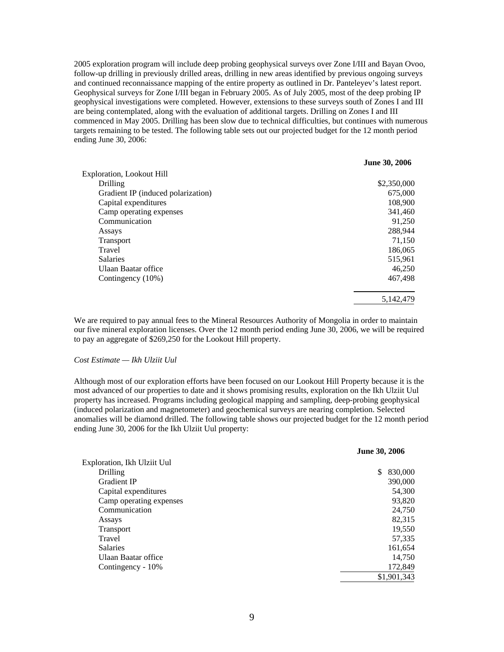2005 exploration program will include deep probing geophysical surveys over Zone I/III and Bayan Ovoo, follow-up drilling in previously drilled areas, drilling in new areas identified by previous ongoing surveys and continued reconnaissance mapping of the entire property as outlined in Dr. Panteleyev's latest report. Geophysical surveys for Zone I/III began in February 2005. As of July 2005, most of the deep probing IP geophysical investigations were completed. However, extensions to these surveys south of Zones I and III are being contemplated, along with the evaluation of additional targets. Drilling on Zones I and III commenced in May 2005. Drilling has been slow due to technical difficulties, but continues with numerous targets remaining to be tested. The following table sets out our projected budget for the 12 month period ending June 30, 2006:

|                                    | <b>June 30, 2006</b> |
|------------------------------------|----------------------|
| Exploration, Lookout Hill          |                      |
| Drilling                           | \$2,350,000          |
| Gradient IP (induced polarization) | 675,000              |
| Capital expenditures               | 108,900              |
| Camp operating expenses            | 341,460              |
| Communication                      | 91,250               |
| Assays                             | 288,944              |
| <b>Transport</b>                   | 71,150               |
| Travel                             | 186,065              |
| <b>Salaries</b>                    | 515,961              |
| Ulaan Baatar office                | 46,250               |
| Contingency (10%)                  | 467,498              |
|                                    | 5.142.479            |

We are required to pay annual fees to the Mineral Resources Authority of Mongolia in order to maintain our five mineral exploration licenses. Over the 12 month period ending June 30, 2006, we will be required to pay an aggregate of \$269,250 for the Lookout Hill property.

#### *Cost Estimate — Ikh Ulziit Uul*

Although most of our exploration efforts have been focused on our Lookout Hill Property because it is the most advanced of our properties to date and it shows promising results, exploration on the Ikh Ulziit Uul property has increased. Programs including geological mapping and sampling, deep-probing geophysical (induced polarization and magnetometer) and geochemical surveys are nearing completion. Selected anomalies will be diamond drilled. The following table shows our projected budget for the 12 month period ending June 30, 2006 for the Ikh Ulziit Uul property:

|                             | June 30, 2006 |
|-----------------------------|---------------|
| Exploration, Ikh Ulziit Uul |               |
| Drilling                    | \$<br>830,000 |
| Gradient IP                 | 390,000       |
| Capital expenditures        | 54,300        |
| Camp operating expenses     | 93,820        |
| Communication               | 24,750        |
| Assays                      | 82,315        |
| Transport                   | 19,550        |
| Travel                      | 57,335        |
| <b>Salaries</b>             | 161,654       |
| Ulaan Baatar office         | 14,750        |
| Contingency - 10%           | 172,849       |
|                             | \$1,901,343   |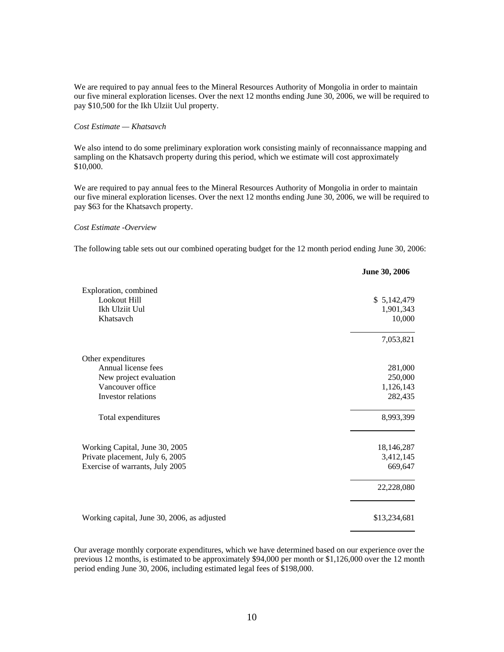We are required to pay annual fees to the Mineral Resources Authority of Mongolia in order to maintain our five mineral exploration licenses. Over the next 12 months ending June 30, 2006, we will be required to pay \$10,500 for the Ikh Ulziit Uul property.

# *Cost Estimate — Khatsavch*

We also intend to do some preliminary exploration work consisting mainly of reconnaissance mapping and sampling on the Khatsavch property during this period, which we estimate will cost approximately \$10,000.

We are required to pay annual fees to the Mineral Resources Authority of Mongolia in order to maintain our five mineral exploration licenses. Over the next 12 months ending June 30, 2006, we will be required to pay \$63 for the Khatsavch property.

# *Cost Estimate -Overview*

The following table sets out our combined operating budget for the 12 month period ending June 30, 2006:

|                                             | June 30, 2006 |
|---------------------------------------------|---------------|
| Exploration, combined                       |               |
| Lookout Hill                                | \$5,142,479   |
| Ikh Ulziit Uul                              | 1,901,343     |
| Khatsavch                                   | 10,000        |
|                                             | 7,053,821     |
| Other expenditures                          |               |
| Annual license fees                         | 281,000       |
| New project evaluation                      | 250,000       |
| Vancouver office                            | 1,126,143     |
| Investor relations                          | 282,435       |
| Total expenditures                          | 8,993,399     |
| Working Capital, June 30, 2005              | 18,146,287    |
| Private placement, July 6, 2005             | 3,412,145     |
| Exercise of warrants, July 2005             | 669,647       |
|                                             | 22,228,080    |
| Working capital, June 30, 2006, as adjusted | \$13,234,681  |

Our average monthly corporate expenditures, which we have determined based on our experience over the previous 12 months, is estimated to be approximately \$94,000 per month or \$1,126,000 over the 12 month period ending June 30, 2006, including estimated legal fees of \$198,000.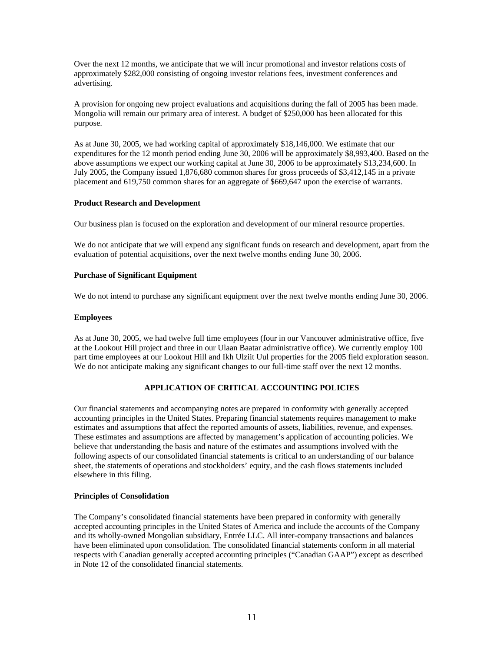Over the next 12 months, we anticipate that we will incur promotional and investor relations costs of approximately \$282,000 consisting of ongoing investor relations fees, investment conferences and advertising.

A provision for ongoing new project evaluations and acquisitions during the fall of 2005 has been made. Mongolia will remain our primary area of interest. A budget of \$250,000 has been allocated for this purpose.

As at June 30, 2005, we had working capital of approximately \$18,146,000. We estimate that our expenditures for the 12 month period ending June 30, 2006 will be approximately \$8,993,400. Based on the above assumptions we expect our working capital at June 30, 2006 to be approximately \$13,234,600. In July 2005, the Company issued 1,876,680 common shares for gross proceeds of \$3,412,145 in a private placement and 619,750 common shares for an aggregate of \$669,647 upon the exercise of warrants.

# **Product Research and Development**

Our business plan is focused on the exploration and development of our mineral resource properties.

We do not anticipate that we will expend any significant funds on research and development, apart from the evaluation of potential acquisitions, over the next twelve months ending June 30, 2006.

# **Purchase of Significant Equipment**

We do not intend to purchase any significant equipment over the next twelve months ending June 30, 2006.

# **Employees**

As at June 30, 2005, we had twelve full time employees (four in our Vancouver administrative office, five at the Lookout Hill project and three in our Ulaan Baatar administrative office). We currently employ 100 part time employees at our Lookout Hill and Ikh Ulziit Uul properties for the 2005 field exploration season. We do not anticipate making any significant changes to our full-time staff over the next 12 months.

# **APPLICATION OF CRITICAL ACCOUNTING POLICIES**

Our financial statements and accompanying notes are prepared in conformity with generally accepted accounting principles in the United States. Preparing financial statements requires management to make estimates and assumptions that affect the reported amounts of assets, liabilities, revenue, and expenses. These estimates and assumptions are affected by management's application of accounting policies. We believe that understanding the basis and nature of the estimates and assumptions involved with the following aspects of our consolidated financial statements is critical to an understanding of our balance sheet, the statements of operations and stockholders' equity, and the cash flows statements included elsewhere in this filing.

# **Principles of Consolidation**

The Company's consolidated financial statements have been prepared in conformity with generally accepted accounting principles in the United States of America and include the accounts of the Company and its wholly-owned Mongolian subsidiary, Entrée LLC. All inter-company transactions and balances have been eliminated upon consolidation. The consolidated financial statements conform in all material respects with Canadian generally accepted accounting principles ("Canadian GAAP") except as described in Note 12 of the consolidated financial statements.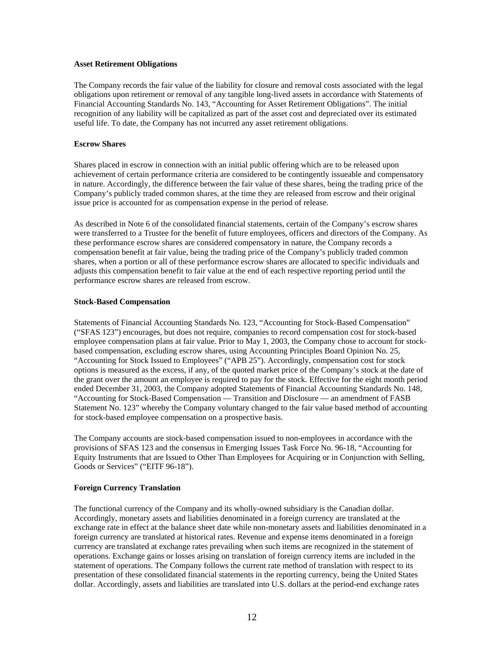# **Asset Retirement Obligations**

The Company records the fair value of the liability for closure and removal costs associated with the legal obligations upon retirement or removal of any tangible long-lived assets in accordance with Statements of Financial Accounting Standards No. 143, "Accounting for Asset Retirement Obligations". The initial recognition of any liability will be capitalized as part of the asset cost and depreciated over its estimated useful life. To date, the Company has not incurred any asset retirement obligations.

# **Escrow Shares**

Shares placed in escrow in connection with an initial public offering which are to be released upon achievement of certain performance criteria are considered to be contingently issueable and compensatory in nature. Accordingly, the difference between the fair value of these shares, being the trading price of the Company's publicly traded common shares, at the time they are released from escrow and their original issue price is accounted for as compensation expense in the period of release.

As described in Note 6 of the consolidated financial statements, certain of the Company's escrow shares were transferred to a Trustee for the benefit of future employees, officers and directors of the Company. As these performance escrow shares are considered compensatory in nature, the Company records a compensation benefit at fair value, being the trading price of the Company's publicly traded common shares, when a portion or all of these performance escrow shares are allocated to specific individuals and adjusts this compensation benefit to fair value at the end of each respective reporting period until the performance escrow shares are released from escrow.

# **Stock-Based Compensation**

Statements of Financial Accounting Standards No. 123, "Accounting for Stock-Based Compensation" ("SFAS 123") encourages, but does not require, companies to record compensation cost for stock-based employee compensation plans at fair value. Prior to May 1, 2003, the Company chose to account for stockbased compensation, excluding escrow shares, using Accounting Principles Board Opinion No. 25, "Accounting for Stock Issued to Employees" ("APB 25"). Accordingly, compensation cost for stock options is measured as the excess, if any, of the quoted market price of the Company's stock at the date of the grant over the amount an employee is required to pay for the stock. Effective for the eight month period ended December 31, 2003, the Company adopted Statements of Financial Accounting Standards No. 148, "Accounting for Stock-Based Compensation — Transition and Disclosure — an amendment of FASB Statement No. 123" whereby the Company voluntary changed to the fair value based method of accounting for stock-based employee compensation on a prospective basis.

The Company accounts are stock-based compensation issued to non-employees in accordance with the provisions of SFAS 123 and the consensus in Emerging Issues Task Force No. 96-18, "Accounting for Equity Instruments that are Issued to Other Than Employees for Acquiring or in Conjunction with Selling, Goods or Services" ("EITF 96-18").

# **Foreign Currency Translation**

The functional currency of the Company and its wholly-owned subsidiary is the Canadian dollar. Accordingly, monetary assets and liabilities denominated in a foreign currency are translated at the exchange rate in effect at the balance sheet date while non-monetary assets and liabilities denominated in a foreign currency are translated at historical rates. Revenue and expense items denominated in a foreign currency are translated at exchange rates prevailing when such items are recognized in the statement of operations. Exchange gains or losses arising on translation of foreign currency items are included in the statement of operations. The Company follows the current rate method of translation with respect to its presentation of these consolidated financial statements in the reporting currency, being the United States dollar. Accordingly, assets and liabilities are translated into U.S. dollars at the period-end exchange rates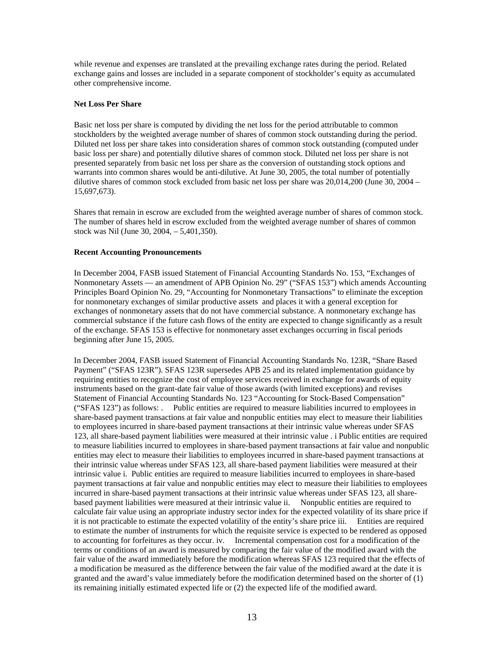while revenue and expenses are translated at the prevailing exchange rates during the period. Related exchange gains and losses are included in a separate component of stockholder's equity as accumulated other comprehensive income.

# **Net Loss Per Share**

Basic net loss per share is computed by dividing the net loss for the period attributable to common stockholders by the weighted average number of shares of common stock outstanding during the period. Diluted net loss per share takes into consideration shares of common stock outstanding (computed under basic loss per share) and potentially dilutive shares of common stock. Diluted net loss per share is not presented separately from basic net loss per share as the conversion of outstanding stock options and warrants into common shares would be anti-dilutive. At June 30, 2005, the total number of potentially dilutive shares of common stock excluded from basic net loss per share was 20,014,200 (June 30, 2004 – 15,697,673).

Shares that remain in escrow are excluded from the weighted average number of shares of common stock. The number of shares held in escrow excluded from the weighted average number of shares of common stock was Nil (June 30, 2004, – 5,401,350).

# **Recent Accounting Pronouncements**

In December 2004, FASB issued Statement of Financial Accounting Standards No. 153, "Exchanges of Nonmonetary Assets — an amendment of APB Opinion No. 29" ("SFAS 153") which amends Accounting Principles Board Opinion No. 29, "Accounting for Nonmonetary Transactions" to eliminate the exception for nonmonetary exchanges of similar productive assets and places it with a general exception for exchanges of nonmonetary assets that do not have commercial substance. A nonmonetary exchange has commercial substance if the future cash flows of the entity are expected to change significantly as a result of the exchange. SFAS 153 is effective for nonmonetary asset exchanges occurring in fiscal periods beginning after June 15, 2005.

In December 2004, FASB issued Statement of Financial Accounting Standards No. 123R, "Share Based Payment" ("SFAS 123R"). SFAS 123R supersedes APB 25 and its related implementation guidance by requiring entities to recognize the cost of employee services received in exchange for awards of equity instruments based on the grant-date fair value of those awards (with limited exceptions) and revises Statement of Financial Accounting Standards No. 123 "Accounting for Stock-Based Compensation" ("SFAS 123") as follows: . Public entities are required to measure liabilities incurred to employees in share-based payment transactions at fair value and nonpublic entities may elect to measure their liabilities to employees incurred in share-based payment transactions at their intrinsic value whereas under SFAS 123, all share-based payment liabilities were measured at their intrinsic value . i Public entities are required to measure liabilities incurred to employees in share-based payment transactions at fair value and nonpublic entities may elect to measure their liabilities to employees incurred in share-based payment transactions at their intrinsic value whereas under SFAS 123, all share-based payment liabilities were measured at their intrinsic value i. Public entities are required to measure liabilities incurred to employees in share-based payment transactions at fair value and nonpublic entities may elect to measure their liabilities to employees incurred in share-based payment transactions at their intrinsic value whereas under SFAS 123, all sharebased payment liabilities were measured at their intrinsic value ii. Nonpublic entities are required to calculate fair value using an appropriate industry sector index for the expected volatility of its share price if it is not practicable to estimate the expected volatility of the entity's share price iii. Entities are required to estimate the number of instruments for which the requisite service is expected to be rendered as opposed to accounting for forfeitures as they occur. iv. Incremental compensation cost for a modification of the terms or conditions of an award is measured by comparing the fair value of the modified award with the fair value of the award immediately before the modification whereas SFAS 123 required that the effects of a modification be measured as the difference between the fair value of the modified award at the date it is granted and the award's value immediately before the modification determined based on the shorter of (1) its remaining initially estimated expected life or (2) the expected life of the modified award.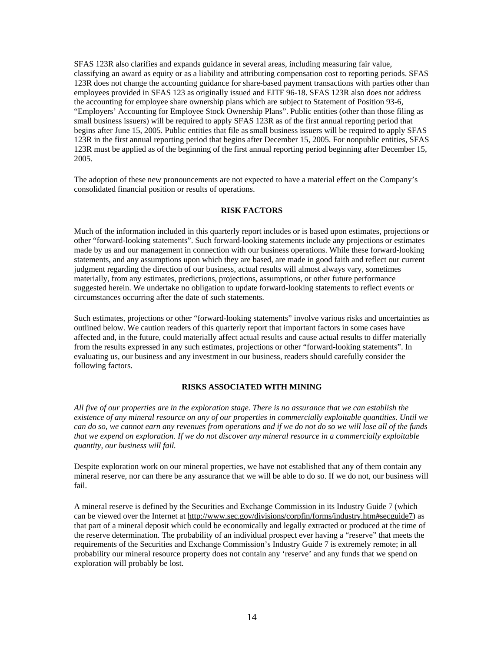SFAS 123R also clarifies and expands guidance in several areas, including measuring fair value, classifying an award as equity or as a liability and attributing compensation cost to reporting periods. SFAS 123R does not change the accounting guidance for share-based payment transactions with parties other than employees provided in SFAS 123 as originally issued and EITF 96-18. SFAS 123R also does not address the accounting for employee share ownership plans which are subject to Statement of Position 93-6, "Employers' Accounting for Employee Stock Ownership Plans". Public entities (other than those filing as small business issuers) will be required to apply SFAS 123R as of the first annual reporting period that begins after June 15, 2005. Public entities that file as small business issuers will be required to apply SFAS 123R in the first annual reporting period that begins after December 15, 2005. For nonpublic entities, SFAS 123R must be applied as of the beginning of the first annual reporting period beginning after December 15, 2005.

The adoption of these new pronouncements are not expected to have a material effect on the Company's consolidated financial position or results of operations.

# **RISK FACTORS**

Much of the information included in this quarterly report includes or is based upon estimates, projections or other "forward-looking statements". Such forward-looking statements include any projections or estimates made by us and our management in connection with our business operations. While these forward-looking statements, and any assumptions upon which they are based, are made in good faith and reflect our current judgment regarding the direction of our business, actual results will almost always vary, sometimes materially, from any estimates, predictions, projections, assumptions, or other future performance suggested herein. We undertake no obligation to update forward-looking statements to reflect events or circumstances occurring after the date of such statements.

Such estimates, projections or other "forward-looking statements" involve various risks and uncertainties as outlined below. We caution readers of this quarterly report that important factors in some cases have affected and, in the future, could materially affect actual results and cause actual results to differ materially from the results expressed in any such estimates, projections or other "forward-looking statements". In evaluating us, our business and any investment in our business, readers should carefully consider the following factors.

# **RISKS ASSOCIATED WITH MINING**

*All five of our properties are in the exploration stage. There is no assurance that we can establish the existence of any mineral resource on any of our properties in commercially exploitable quantities. Until we can do so, we cannot earn any revenues from operations and if we do not do so we will lose all of the funds that we expend on exploration. If we do not discover any mineral resource in a commercially exploitable quantity, our business will fail.*

Despite exploration work on our mineral properties, we have not established that any of them contain any mineral reserve, nor can there be any assurance that we will be able to do so. If we do not, our business will fail.

A mineral reserve is defined by the Securities and Exchange Commission in its Industry Guide 7 (which can be viewed over the Internet at http://www.sec.gov/divisions/corpfin/forms/industry.htm#secguide7) as that part of a mineral deposit which could be economically and legally extracted or produced at the time of the reserve determination. The probability of an individual prospect ever having a "reserve" that meets the requirements of the Securities and Exchange Commission's Industry Guide 7 is extremely remote; in all probability our mineral resource property does not contain any 'reserve' and any funds that we spend on exploration will probably be lost.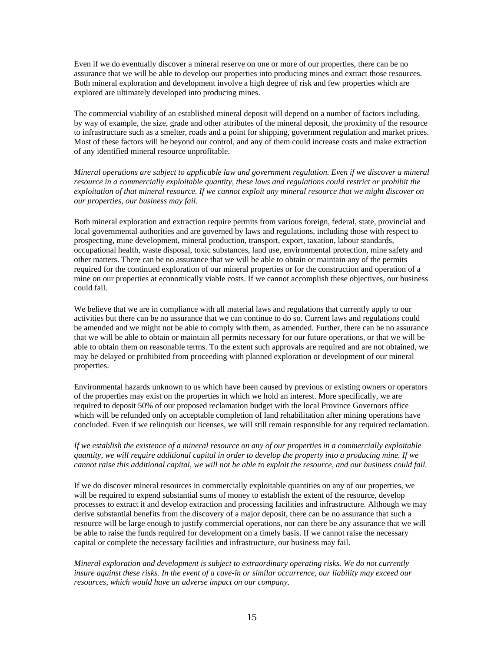Even if we do eventually discover a mineral reserve on one or more of our properties, there can be no assurance that we will be able to develop our properties into producing mines and extract those resources. Both mineral exploration and development involve a high degree of risk and few properties which are explored are ultimately developed into producing mines.

The commercial viability of an established mineral deposit will depend on a number of factors including, by way of example, the size, grade and other attributes of the mineral deposit, the proximity of the resource to infrastructure such as a smelter, roads and a point for shipping, government regulation and market prices. Most of these factors will be beyond our control, and any of them could increase costs and make extraction of any identified mineral resource unprofitable.

*Mineral operations are subject to applicable law and government regulation. Even if we discover a mineral resource in a commercially exploitable quantity, these laws and regulations could restrict or prohibit the exploitation of that mineral resource. If we cannot exploit any mineral resource that we might discover on our properties, our business may fail.*

Both mineral exploration and extraction require permits from various foreign, federal, state, provincial and local governmental authorities and are governed by laws and regulations, including those with respect to prospecting, mine development, mineral production, transport, export, taxation, labour standards, occupational health, waste disposal, toxic substances, land use, environmental protection, mine safety and other matters. There can be no assurance that we will be able to obtain or maintain any of the permits required for the continued exploration of our mineral properties or for the construction and operation of a mine on our properties at economically viable costs. If we cannot accomplish these objectives, our business could fail.

We believe that we are in compliance with all material laws and regulations that currently apply to our activities but there can be no assurance that we can continue to do so. Current laws and regulations could be amended and we might not be able to comply with them, as amended. Further, there can be no assurance that we will be able to obtain or maintain all permits necessary for our future operations, or that we will be able to obtain them on reasonable terms. To the extent such approvals are required and are not obtained, we may be delayed or prohibited from proceeding with planned exploration or development of our mineral properties.

Environmental hazards unknown to us which have been caused by previous or existing owners or operators of the properties may exist on the properties in which we hold an interest. More specifically, we are required to deposit 50% of our proposed reclamation budget with the local Province Governors office which will be refunded only on acceptable completion of land rehabilitation after mining operations have concluded. Even if we relinquish our licenses, we will still remain responsible for any required reclamation.

*If we establish the existence of a mineral resource on any of our properties in a commercially exploitable quantity, we will require additional capital in order to develop the property into a producing mine. If we cannot raise this additional capital, we will not be able to exploit the resource, and our business could fail.*

If we do discover mineral resources in commercially exploitable quantities on any of our properties, we will be required to expend substantial sums of money to establish the extent of the resource, develop processes to extract it and develop extraction and processing facilities and infrastructure. Although we may derive substantial benefits from the discovery of a major deposit, there can be no assurance that such a resource will be large enough to justify commercial operations, nor can there be any assurance that we will be able to raise the funds required for development on a timely basis. If we cannot raise the necessary capital or complete the necessary facilities and infrastructure, our business may fail.

*Mineral exploration and development is subject to extraordinary operating risks. We do not currently insure against these risks. In the event of a cave-in or similar occurrence, our liability may exceed our resources, which would have an adverse impact on our company.*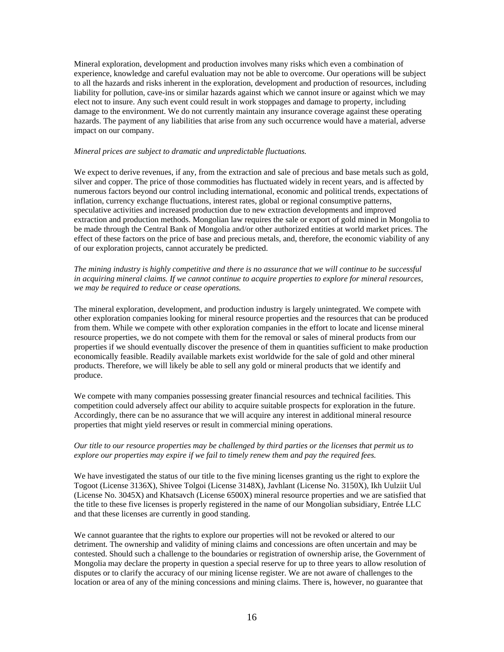Mineral exploration, development and production involves many risks which even a combination of experience, knowledge and careful evaluation may not be able to overcome. Our operations will be subject to all the hazards and risks inherent in the exploration, development and production of resources, including liability for pollution, cave-ins or similar hazards against which we cannot insure or against which we may elect not to insure. Any such event could result in work stoppages and damage to property, including damage to the environment. We do not currently maintain any insurance coverage against these operating hazards. The payment of any liabilities that arise from any such occurrence would have a material, adverse impact on our company.

# *Mineral prices are subject to dramatic and unpredictable fluctuations.*

We expect to derive revenues, if any, from the extraction and sale of precious and base metals such as gold, silver and copper. The price of those commodities has fluctuated widely in recent years, and is affected by numerous factors beyond our control including international, economic and political trends, expectations of inflation, currency exchange fluctuations, interest rates, global or regional consumptive patterns, speculative activities and increased production due to new extraction developments and improved extraction and production methods. Mongolian law requires the sale or export of gold mined in Mongolia to be made through the Central Bank of Mongolia and/or other authorized entities at world market prices. The effect of these factors on the price of base and precious metals, and, therefore, the economic viability of any of our exploration projects, cannot accurately be predicted.

*The mining industry is highly competitive and there is no assurance that we will continue to be successful in acquiring mineral claims. If we cannot continue to acquire properties to explore for mineral resources, we may be required to reduce or cease operations.*

The mineral exploration, development, and production industry is largely unintegrated. We compete with other exploration companies looking for mineral resource properties and the resources that can be produced from them. While we compete with other exploration companies in the effort to locate and license mineral resource properties, we do not compete with them for the removal or sales of mineral products from our properties if we should eventually discover the presence of them in quantities sufficient to make production economically feasible. Readily available markets exist worldwide for the sale of gold and other mineral products. Therefore, we will likely be able to sell any gold or mineral products that we identify and produce.

We compete with many companies possessing greater financial resources and technical facilities. This competition could adversely affect our ability to acquire suitable prospects for exploration in the future. Accordingly, there can be no assurance that we will acquire any interest in additional mineral resource properties that might yield reserves or result in commercial mining operations.

# *Our title to our resource properties may be challenged by third parties or the licenses that permit us to explore our properties may expire if we fail to timely renew them and pay the required fees.*

We have investigated the status of our title to the five mining licenses granting us the right to explore the Togoot (License 3136X), Shivee Tolgoi (License 3148X), Javhlant (License No. 3150X), Ikh Uulziit Uul (License No. 3045X) and Khatsavch (License 6500X) mineral resource properties and we are satisfied that the title to these five licenses is properly registered in the name of our Mongolian subsidiary, Entrée LLC and that these licenses are currently in good standing.

We cannot guarantee that the rights to explore our properties will not be revoked or altered to our detriment. The ownership and validity of mining claims and concessions are often uncertain and may be contested. Should such a challenge to the boundaries or registration of ownership arise, the Government of Mongolia may declare the property in question a special reserve for up to three years to allow resolution of disputes or to clarify the accuracy of our mining license register. We are not aware of challenges to the location or area of any of the mining concessions and mining claims. There is, however, no guarantee that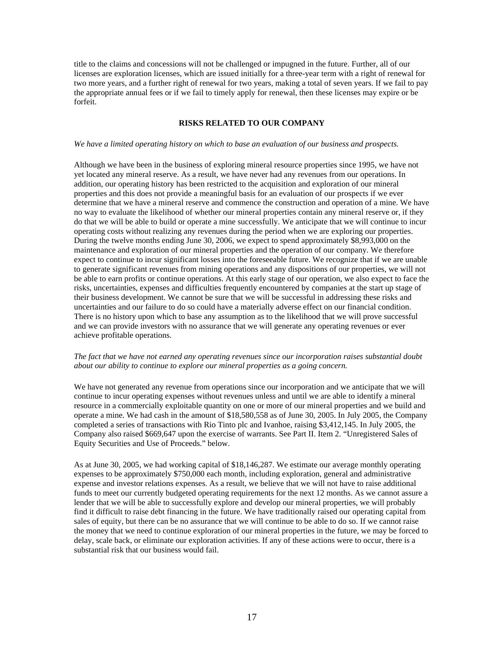title to the claims and concessions will not be challenged or impugned in the future. Further, all of our licenses are exploration licenses, which are issued initially for a three-year term with a right of renewal for two more years, and a further right of renewal for two years, making a total of seven years. If we fail to pay the appropriate annual fees or if we fail to timely apply for renewal, then these licenses may expire or be forfeit.

# **RISKS RELATED TO OUR COMPANY**

# *We have a limited operating history on which to base an evaluation of our business and prospects.*

Although we have been in the business of exploring mineral resource properties since 1995, we have not yet located any mineral reserve. As a result, we have never had any revenues from our operations. In addition, our operating history has been restricted to the acquisition and exploration of our mineral properties and this does not provide a meaningful basis for an evaluation of our prospects if we ever determine that we have a mineral reserve and commence the construction and operation of a mine. We have no way to evaluate the likelihood of whether our mineral properties contain any mineral reserve or, if they do that we will be able to build or operate a mine successfully. We anticipate that we will continue to incur operating costs without realizing any revenues during the period when we are exploring our properties. During the twelve months ending June 30, 2006, we expect to spend approximately \$8,993,000 on the maintenance and exploration of our mineral properties and the operation of our company. We therefore expect to continue to incur significant losses into the foreseeable future. We recognize that if we are unable to generate significant revenues from mining operations and any dispositions of our properties, we will not be able to earn profits or continue operations. At this early stage of our operation, we also expect to face the risks, uncertainties, expenses and difficulties frequently encountered by companies at the start up stage of their business development. We cannot be sure that we will be successful in addressing these risks and uncertainties and our failure to do so could have a materially adverse effect on our financial condition. There is no history upon which to base any assumption as to the likelihood that we will prove successful and we can provide investors with no assurance that we will generate any operating revenues or ever achieve profitable operations.

# *The fact that we have not earned any operating revenues since our incorporation raises substantial doubt about our ability to continue to explore our mineral properties as a going concern.*

We have not generated any revenue from operations since our incorporation and we anticipate that we will continue to incur operating expenses without revenues unless and until we are able to identify a mineral resource in a commercially exploitable quantity on one or more of our mineral properties and we build and operate a mine. We had cash in the amount of \$18,580,558 as of June 30, 2005. In July 2005, the Company completed a series of transactions with Rio Tinto plc and Ivanhoe, raising \$3,412,145. In July 2005, the Company also raised \$669,647 upon the exercise of warrants. See Part II. Item 2. "Unregistered Sales of Equity Securities and Use of Proceeds." below.

As at June 30, 2005, we had working capital of \$18,146,287. We estimate our average monthly operating expenses to be approximately \$750,000 each month, including exploration, general and administrative expense and investor relations expenses. As a result, we believe that we will not have to raise additional funds to meet our currently budgeted operating requirements for the next 12 months. As we cannot assure a lender that we will be able to successfully explore and develop our mineral properties, we will probably find it difficult to raise debt financing in the future. We have traditionally raised our operating capital from sales of equity, but there can be no assurance that we will continue to be able to do so. If we cannot raise the money that we need to continue exploration of our mineral properties in the future, we may be forced to delay, scale back, or eliminate our exploration activities. If any of these actions were to occur, there is a substantial risk that our business would fail.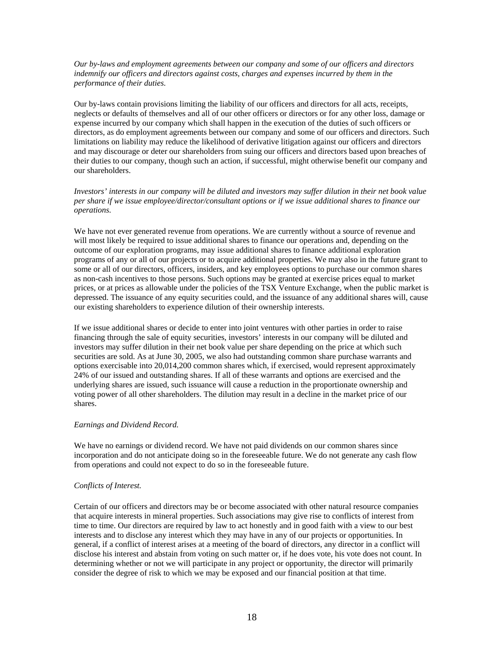*Our by-laws and employment agreements between our company and some of our officers and directors indemnify our officers and directors against costs, charges and expenses incurred by them in the performance of their duties.*

Our by-laws contain provisions limiting the liability of our officers and directors for all acts, receipts, neglects or defaults of themselves and all of our other officers or directors or for any other loss, damage or expense incurred by our company which shall happen in the execution of the duties of such officers or directors, as do employment agreements between our company and some of our officers and directors. Such limitations on liability may reduce the likelihood of derivative litigation against our officers and directors and may discourage or deter our shareholders from suing our officers and directors based upon breaches of their duties to our company, though such an action, if successful, might otherwise benefit our company and our shareholders.

*Investors' interests in our company will be diluted and investors may suffer dilution in their net book value per share if we issue employee/director/consultant options or if we issue additional shares to finance our operations.*

We have not ever generated revenue from operations. We are currently without a source of revenue and will most likely be required to issue additional shares to finance our operations and, depending on the outcome of our exploration programs, may issue additional shares to finance additional exploration programs of any or all of our projects or to acquire additional properties. We may also in the future grant to some or all of our directors, officers, insiders, and key employees options to purchase our common shares as non-cash incentives to those persons. Such options may be granted at exercise prices equal to market prices, or at prices as allowable under the policies of the TSX Venture Exchange, when the public market is depressed. The issuance of any equity securities could, and the issuance of any additional shares will, cause our existing shareholders to experience dilution of their ownership interests.

If we issue additional shares or decide to enter into joint ventures with other parties in order to raise financing through the sale of equity securities, investors' interests in our company will be diluted and investors may suffer dilution in their net book value per share depending on the price at which such securities are sold. As at June 30, 2005, we also had outstanding common share purchase warrants and options exercisable into 20,014,200 common shares which, if exercised, would represent approximately 24% of our issued and outstanding shares. If all of these warrants and options are exercised and the underlying shares are issued, such issuance will cause a reduction in the proportionate ownership and voting power of all other shareholders. The dilution may result in a decline in the market price of our shares.

# *Earnings and Dividend Record.*

We have no earnings or dividend record. We have not paid dividends on our common shares since incorporation and do not anticipate doing so in the foreseeable future. We do not generate any cash flow from operations and could not expect to do so in the foreseeable future.

# *Conflicts of Interest.*

Certain of our officers and directors may be or become associated with other natural resource companies that acquire interests in mineral properties. Such associations may give rise to conflicts of interest from time to time. Our directors are required by law to act honestly and in good faith with a view to our best interests and to disclose any interest which they may have in any of our projects or opportunities. In general, if a conflict of interest arises at a meeting of the board of directors, any director in a conflict will disclose his interest and abstain from voting on such matter or, if he does vote, his vote does not count. In determining whether or not we will participate in any project or opportunity, the director will primarily consider the degree of risk to which we may be exposed and our financial position at that time.